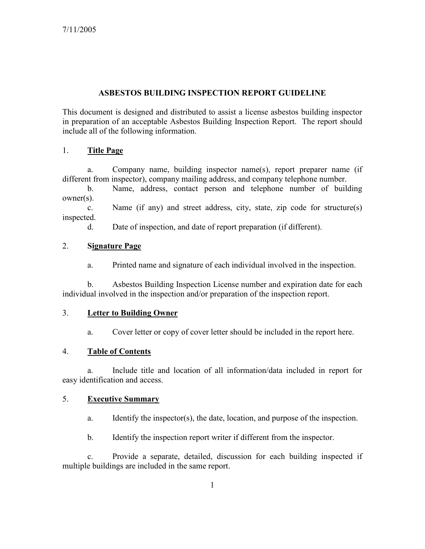## ASBESTOS BUILDING INSPECTION REPORT GUIDELINE

This document is designed and distributed to assist a license asbestos building inspector in preparation of an acceptable Asbestos Building Inspection Report. The report should include all of the following information.

# 1. Title Page

 a. Company name, building inspector name(s), report preparer name (if different from inspector), company mailing address, and company telephone number.

 b. Name, address, contact person and telephone number of building owner(s).

 c. Name (if any) and street address, city, state, zip code for structure(s) inspected.

d. Date of inspection, and date of report preparation (if different).

### 2. Signature Page

a. Printed name and signature of each individual involved in the inspection.

 b. Asbestos Building Inspection License number and expiration date for each individual involved in the inspection and/or preparation of the inspection report.

# 3. Letter to Building Owner

a. Cover letter or copy of cover letter should be included in the report here.

## 4. Table of Contents

 a. Include title and location of all information/data included in report for easy identification and access.

#### 5. Executive Summary

- a. Identify the inspector(s), the date, location, and purpose of the inspection.
- b. Identify the inspection report writer if different from the inspector.

 c. Provide a separate, detailed, discussion for each building inspected if multiple buildings are included in the same report.